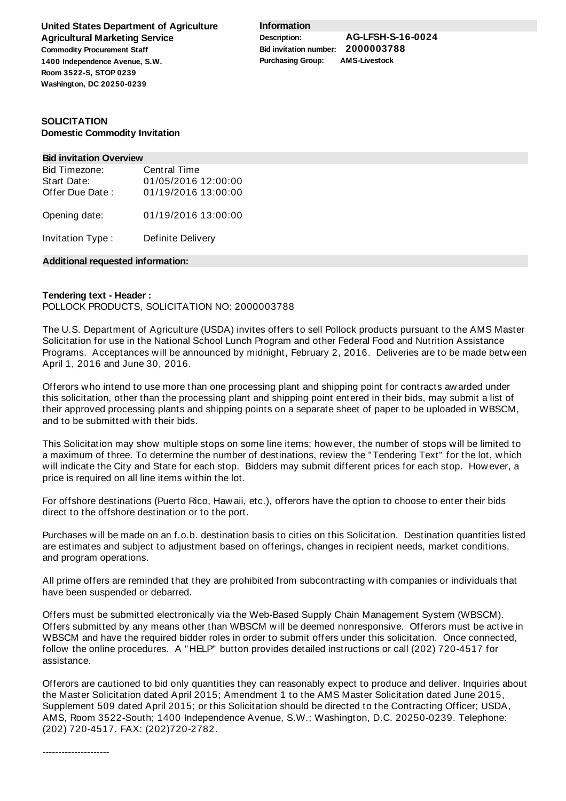**United States Department of Agriculture Agricultural Marketing Service Commodity Procurement Staff 1400 Independence Avenue, S.W. Room 3522-S, STOP 0239 Washington, DC 20250-0239**

**Information**

**Description: AG-LFSH-S-16-0024 Bid invitation number: 2000003788 Purchasing Group: AMS-Livestock**

## **SOLICITATION Domestic Commodity Invitation**

#### **Bid invitation Overview**

| Bid Timezone:    | <b>Central Time</b> |
|------------------|---------------------|
| Start Date:      | 01/05/2016 12:00:00 |
| Offer Due Date:  | 01/19/2016 13:00:00 |
| Opening date:    | 01/19/2016 13:00:00 |
| Invitation Type: | Definite Delivery   |

#### **Additional requested information:**

## **Tendering text - Header :**

## POLLOCK PRODUCTS, SOLICITATION NO: 2000003788

The U.S. Department of Agriculture (USDA) invites offers to sell Pollock products pursuant to the AMS Master Solicitation for use in the National School Lunch Program and other Federal Food and Nutrition Assistance Programs. Acceptances will be announced by midnight, February 2, 2016. Deliveries are to be made between April 1, 2016 and June 30, 2016.

Offerors who intend to use more than one processing plant and shipping point for contracts awarded under this solicitation, other than the processing plant and shipping point entered in their bids, may submit a list of their approved processing plants and shipping points on a separate sheet of paper to be uploaded in WBSCM, and to be submitted with their bids.

This Solicitation may show multiple stops on some line items; however, the number of stops will be limited to a maximum of three. To determine the number of destinations, review the "Tendering Text" for the lot, which will indicate the City and State for each stop. Bidders may submit different prices for each stop. However, a price is required on all line items within the lot.

For offshore destinations (Puerto Rico, Hawaii, etc.), offerors have the option to choose to enter their bids direct to the offshore destination or to the port.

Purchases will be made on an f.o.b. destination basis to cities on this Solicitation. Destination quantities listed are estimates and subject to adjustment based on offerings, changes in recipient needs, market conditions, and program operations.

All prime offers are reminded that they are prohibited from subcontracting with companies or individuals that have been suspended or debarred.

Offers must be submitted electronically via the Web-Based Supply Chain Management System (WBSCM). Offers submitted by any means other than WBSCM will be deemed nonresponsive. Offerors must be active in WBSCM and have the required bidder roles in order to submit offers under this solicitation. Once connected, follow the online procedures. A "HELP" button provides detailed instructions or call (202) 720-4517 for assistance.

Offerors are cautioned to bid only quantities they can reasonably expect to produce and deliver. Inquiries about the Master Solicitation dated April 2015; Amendment 1 to the AMS Master Solicitation dated June 2015, Supplement 509 dated April 2015; or this Solicitation should be directed to the Contracting Officer; USDA, AMS, Room 3522-South; 1400 Independence Avenue, S.W.; Washington, D.C. 20250-0239. Telephone: (202) 720-4517. FAX: (202)720-2782.

---------------------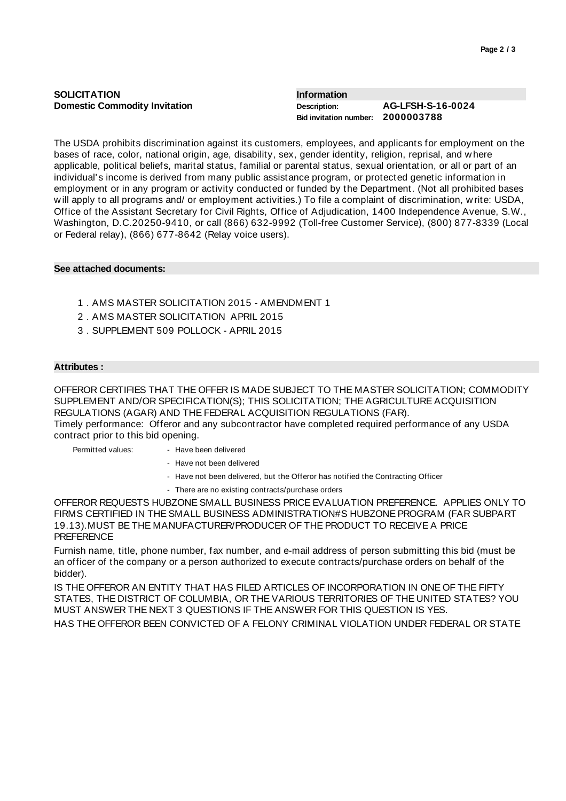| <b>SOLICITATION</b><br>Information   |                                   |
|--------------------------------------|-----------------------------------|
| <b>Domestic Commodity Invitation</b> | <b>AG-LFSH-S-16-0024</b>          |
| Description:                         | Bid invitation number: 2000003788 |

The USDA prohibits discrimination against its customers, employees, and applicants for employment on the bases of race, color, national origin, age, disability, sex, gender identity, religion, reprisal, and where applicable, political beliefs, marital status, familial or parental status, sexual orientation, or all or part of an individual's income is derived from many public assistance program, or protected genetic information in employment or in any program or activity conducted or funded by the Department. (Not all prohibited bases will apply to all programs and/ or employment activities.) To file a complaint of discrimination, write: USDA, Office of the Assistant Secretary for Civil Rights, Office of Adjudication, 1400 Independence Avenue, S.W., Washington, D.C.20250-9410, or call (866) 632-9992 (Toll-free Customer Service), (800) 877-8339 (Local or Federal relay), (866) 677-8642 (Relay voice users).

# **See attached documents:**

- 1 . AMS MASTER SOLICITATION 2015 AMENDMENT 1
- 2 . AMS MASTER SOLICITATION APRIL 2015
- 3 . SUPPLEMENT 509 POLLOCK APRIL 2015

### **Attributes :**

OFFEROR CERTIFIES THAT THE OFFER IS MADE SUBJECT TO THE MASTER SOLICITATION; COMMODITY SUPPLEMENT AND/OR SPECIFICATION(S); THIS SOLICITATION; THE AGRICULTURE ACQUISITION REGULATIONS (AGAR) AND THE FEDERAL ACQUISITION REGULATIONS (FAR).

Timely performance: Offeror and any subcontractor have completed required performance of any USDA contract prior to this bid opening.

Permitted values: - - Have been delivered

- Have not been delivered
- Have not been delivered, but the Offeror has notified the Contracting Officer
- There are no existing contracts/purchase orders

OFFEROR REQUESTS HUBZONE SMALL BUSINESS PRICE EVALUATION PREFERENCE. APPLIES ONLY TO FIRMS CERTIFIED IN THE SMALL BUSINESS ADMINISTRATION#S HUBZONE PROGRAM (FAR SUBPART 19.13).MUST BE THE MANUFACTURER/PRODUCER OF THE PRODUCT TO RECEIVE A PRICE PREFERENCE

Furnish name, title, phone number, fax number, and e-mail address of person submitting this bid (must be an officer of the company or a person authorized to execute contracts/purchase orders on behalf of the bidder).

IS THE OFFEROR AN ENTITY THAT HAS FILED ARTICLES OF INCORPORATION IN ONE OF THE FIFTY STATES, THE DISTRICT OF COLUMBIA, OR THE VARIOUS TERRITORIES OF THE UNITED STATES? YOU MUST ANSWER THE NEXT 3 QUESTIONS IF THE ANSWER FOR THIS QUESTION IS YES. HAS THE OFFEROR BEEN CONVICTED OF A FELONY CRIMINAL VIOLATION UNDER FEDERAL OR STATE